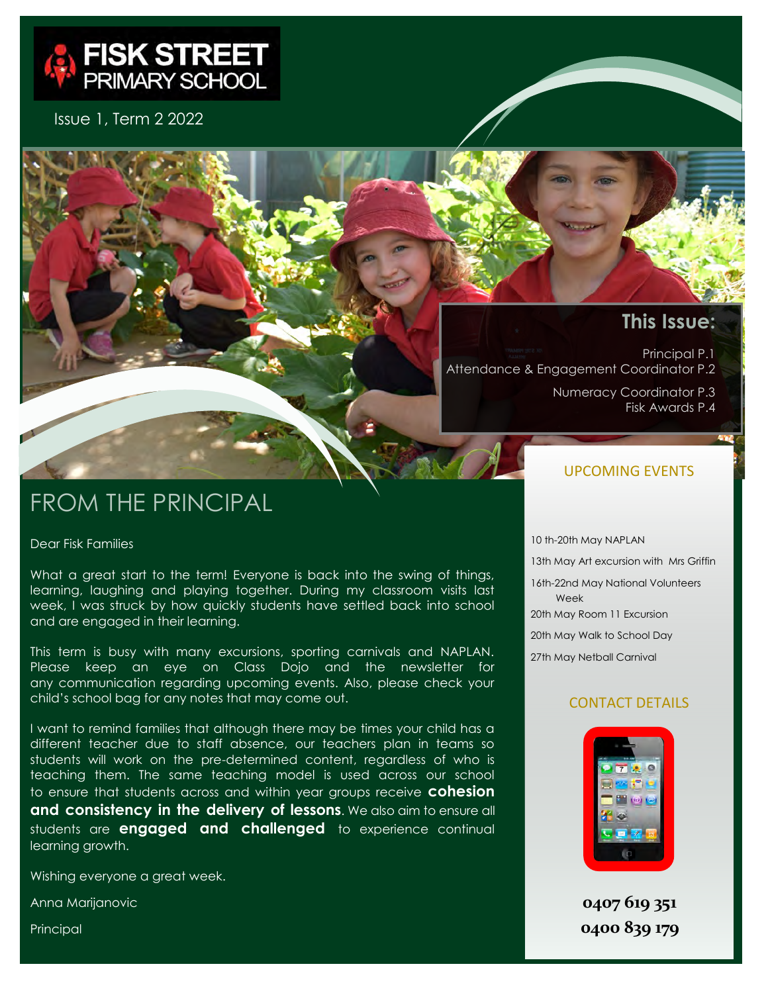

Issue 1, Term 2 2022

## **This Issue:**

Principal P.1 Attendance & Engagement Coordinator P.2 Numeracy Coordinator P.3

Fisk Awards P.4

# FROM THE PRINCIPAL

Dear Fisk Families

What a great start to the term! Everyone is back into the swing of things, learning, laughing and playing together. During my classroom visits last week, I was struck by how quickly students have settled back into school and are engaged in their learning.

This term is busy with many excursions, sporting carnivals and NAPLAN. Please keep an eye on Class Dojo and the newsletter for any communication regarding upcoming events. Also, please check your child's school bag for any notes that may come out.

I want to remind families that although there may be times your child has a different teacher due to staff absence, our teachers plan in teams so students will work on the pre-determined content, regardless of who is teaching them. The same teaching model is used across our school to ensure that students across and within year groups receive **cohesion and consistency in the delivery of lessons**. We also aim to ensure all students are **engaged and challenged** to experience continual learning growth.

Wishing everyone a great week.

Anna Marijanovic

Principal

#### UPCOMING EVENTS

10 th-20th May NAPLAN 13th May Art excursion with Mrs Griffin 16th-22nd May National Volunteers Week 20th May Room 11 Excursion 20th May Walk to School Day 27th May Netball Carnival

#### CONTACT DETAILS



**0407 619 351 0400 839 179**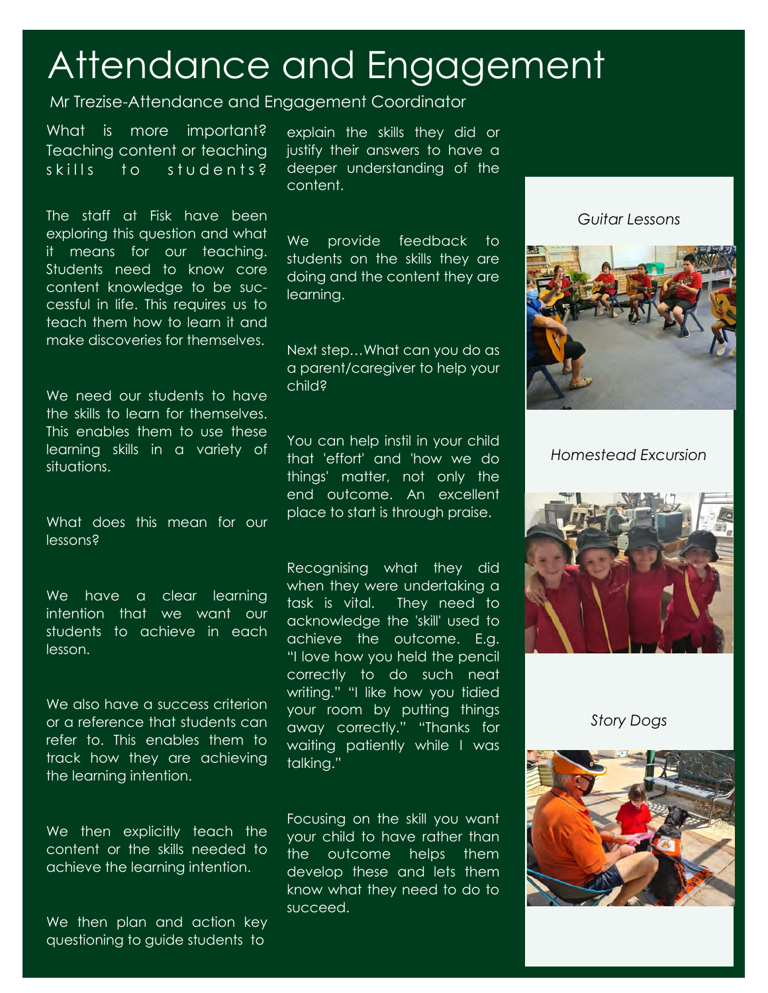# Attendance and Engagement

### Mr Trezise-Attendance and Engagement Coordinator

What is more important? Teaching content or teaching skills to students?

The staff at Fisk have been exploring this question and what it means for our teaching. Students need to know core content knowledge to be successful in life. This requires us to teach them how to learn it and make discoveries for themselves.

We need our students to have the skills to learn for themselves. This enables them to use these learning skills in a variety of situations.

What does this mean for our lessons?

We have a clear learning intention that we want our students to achieve in each lesson.

We also have a success criterion or a reference that students can refer to. This enables them to track how they are achieving the learning intention.

We then explicitly teach the content or the skills needed to achieve the learning intention.

We then plan and action key questioning to guide students to

explain the skills they did or justify their answers to have a deeper understanding of the content.

We provide feedback to students on the skills they are doing and the content they are learning.

Next step…What can you do as a parent/caregiver to help your child?

You can help instil in your child that 'effort' and 'how we do things' matter, not only the end outcome. An excellent place to start is through praise.

Recognising what they did when they were undertaking a task is vital. They need to acknowledge the 'skill' used to achieve the outcome. E.g. "I love how you held the pencil correctly to do such neat writing." "I like how you tidied your room by putting things away correctly." "Thanks for waiting patiently while I was talking."

Focusing on the skill you want your child to have rather than the outcome helps them develop these and lets them know what they need to do to succeed.

*Guitar Lessons*



*Homestead Excursion*



*Story Dogs*

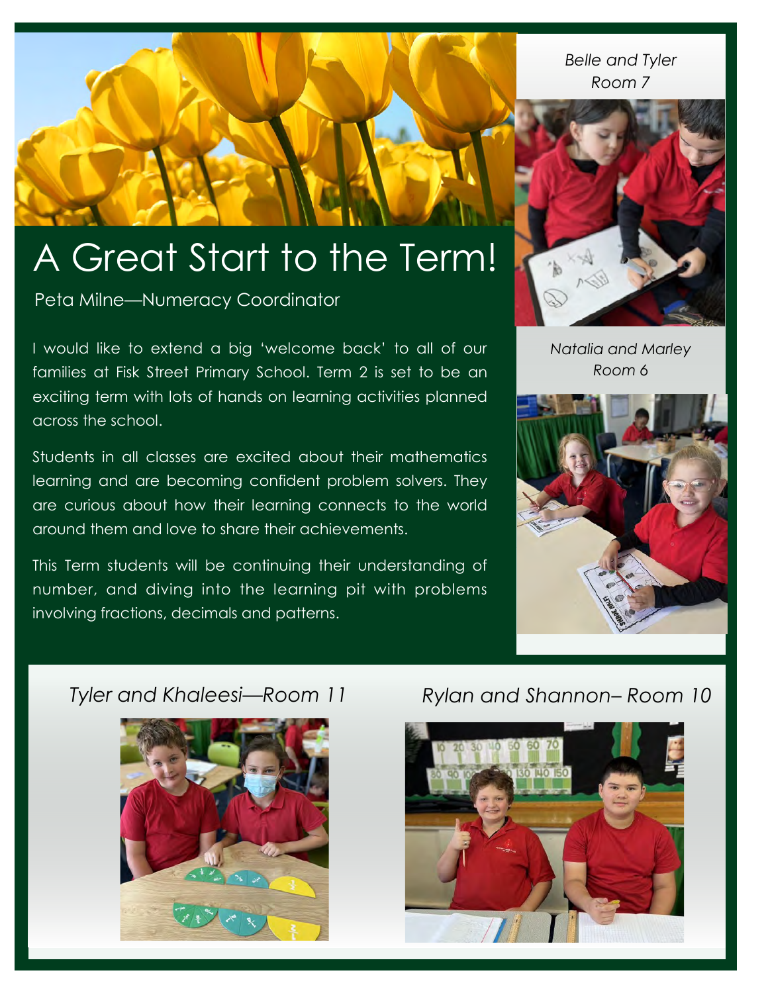*Belle and Tyler Room 7*



### *Natalia and Marley Room 6*



# A Great Start to the Term!

Peta Milne—Numeracy Coordinator

I would like to extend a big 'welcome back' to all of our families at Fisk Street Primary School. Term 2 is set to be an exciting term with lots of hands on learning activities planned across the school.

Students in all classes are excited about their mathematics learning and are becoming confident problem solvers. They are curious about how their learning connects to the world around them and love to share their achievements.

This Term students will be continuing their understanding of number, and diving into the learning pit with problems involving fractions, decimals and patterns.

# *Tyler and Khaleesi—Room 11*



# *Rylan and Shannon– Room 10*